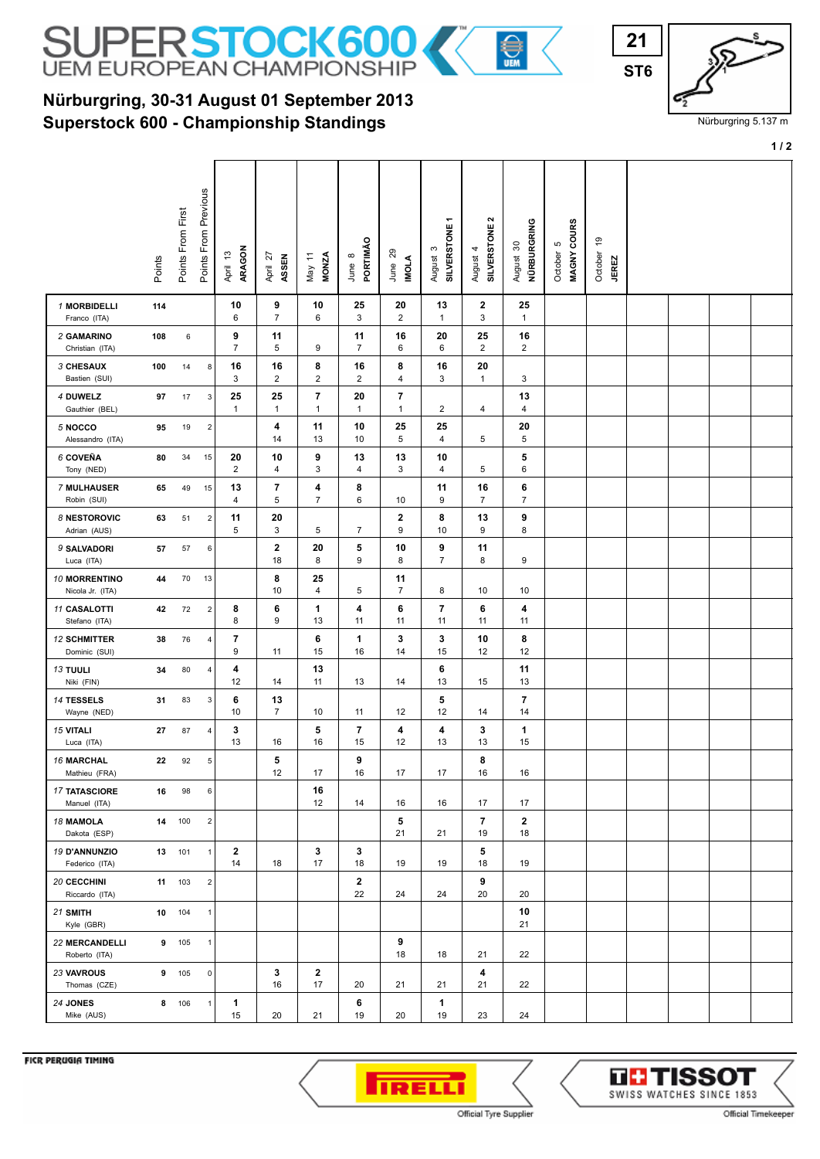

## **Superstock 600 - Championship Standings Nürburgring, 30-31 August 01 September 2013**

| ı               |  |
|-----------------|--|
| ST <sub>6</sub> |  |
|                 |  |

Nürburgring 5.137 m

**1 / 2**

|                                        | Points | Points From First | Points From Previous | ARAGON<br>April 13   | April 27<br>ASSEN    | May 11<br>MONZA                          | PORTIMÃO<br>June 8   | June 29<br><b>IMOLA</b>        | SILVERSTONE1<br>S<br>August   | $\mathbf{\Omega}$<br>August 4<br>SILVERSTONE 2 | NÜRBURGRING<br>$\boldsymbol{\mathcal{S}}$<br>August : | MAGNY COURS<br>ю<br>October | e,<br>October<br><b>JEREZ</b> |  |  |
|----------------------------------------|--------|-------------------|----------------------|----------------------|----------------------|------------------------------------------|----------------------|--------------------------------|-------------------------------|------------------------------------------------|-------------------------------------------------------|-----------------------------|-------------------------------|--|--|
| 1 MORBIDELLI<br>Franco (ITA)           | 114    |                   |                      | 10<br>6              | 9<br>$\overline{7}$  | 10<br>6                                  | 25<br>3              | 20<br>2                        | 13<br>$\mathbf{1}$            | $\mathbf 2$<br>3                               | 25<br>$\mathbf{1}$                                    |                             |                               |  |  |
| 2 GAMARINO<br>Christian (ITA)          | 108    | 6                 |                      | 9<br>$\overline{7}$  | 11<br>5              | 9                                        | 11<br>$\overline{7}$ | 16<br>6                        | 20<br>6                       | 25<br>$\overline{2}$                           | 16<br>$\overline{2}$                                  |                             |                               |  |  |
| 3 CHESAUX<br>Bastien (SUI)             | 100    | 14                | 8                    | 16<br>3              | 16<br>$\overline{2}$ | 8<br>$\overline{2}$                      | 16<br>$\overline{2}$ | 8<br>4                         | 16<br>3                       | 20<br>$\mathbf{1}$                             | 3                                                     |                             |                               |  |  |
| 4 DUWELZ<br>Gauthier (BEL)             | 97     | 17                | $\mathbf{3}$         | 25<br>1              | 25<br>$\mathbf{1}$   | $\overline{\phantom{a}}$<br>$\mathbf{1}$ | 20<br>$\mathbf{1}$   | $\overline{7}$<br>$\mathbf{1}$ | 2                             | 4                                              | 13<br>4                                               |                             |                               |  |  |
| 5 NOCCO<br>Alessandro (ITA)            | 95     | 19                | $\overline{2}$       |                      | 4<br>14              | 11<br>13                                 | 10<br>10             | 25<br>5                        | 25<br>$\overline{\mathbf{4}}$ | 5                                              | 20<br>5                                               |                             |                               |  |  |
| 6 COVEÑA<br>Tony (NED)                 | 80     | 34                | 15                   | 20<br>$\overline{2}$ | 10<br>4              | 9<br>3                                   | 13<br>4              | 13<br>3                        | 10<br>$\overline{\mathbf{4}}$ | 5                                              | 5<br>6                                                |                             |                               |  |  |
| 7 MULHAUSER<br>Robin (SUI)             | 65     | 49                | 15                   | 13<br>4              | 7<br>5               | 4<br>$\overline{7}$                      | 8<br>6               | 10                             | 11<br>9                       | 16<br>7                                        | 6<br>$\overline{7}$                                   |                             |                               |  |  |
| 8 NESTOROVIC<br>Adrian (AUS)           | 63     | 51                | $\overline{2}$       | 11<br>5              | 20<br>3              | 5                                        | $\overline{7}$       | $\boldsymbol{2}$<br>9          | 8<br>10                       | 13<br>9                                        | 9<br>8                                                |                             |                               |  |  |
| 9 SALVADORI<br>Luca (ITA)              | 57     | 57                | 6                    |                      | 2<br>18              | 20<br>8                                  | 5<br>9               | 10<br>8                        | 9<br>$\overline{7}$           | 11<br>8                                        | 9                                                     |                             |                               |  |  |
| 10 MORRENTINO<br>Nicola Jr. (ITA)      | 44     | 70                | 13                   |                      | 8<br>10              | 25<br>4                                  | 5                    | 11<br>$\overline{7}$           | 8                             | 10                                             | 10                                                    |                             |                               |  |  |
| <b>11 CASALOTTI</b><br>Stefano (ITA)   | 42     | 72                | $\mathbf 2$          | 8<br>8               | 6<br>9               | 1<br>13                                  | 4<br>11              | 6<br>11                        | 7<br>11                       | 6<br>11                                        | 4<br>11                                               |                             |                               |  |  |
| <b>12 SCHMITTER</b><br>Dominic (SUI)   | 38     | 76                | 4                    | 7<br>9               | 11                   | 6<br>15                                  | 1<br>16              | 3<br>14                        | 3<br>15                       | 10<br>12                                       | 8<br>12                                               |                             |                               |  |  |
| <b>13 TUULI</b><br>Niki (FIN)          | 34     | 80                | $\overline{4}$       | 4<br>12              | 14                   | 13<br>11                                 | 13                   | 14                             | 6<br>13                       | 15                                             | 11<br>13                                              |                             |                               |  |  |
| 14 TESSELS<br>Wayne (NED)              | 31     | 83                | 3                    | 6<br>10              | 13<br>$\overline{7}$ | 10                                       | 11                   | 12                             | 5<br>12                       | 14                                             | 7<br>14                                               |                             |                               |  |  |
| <b>15 VITALI</b><br>Luca (ITA)         | 27     | 87                | 4                    | 3<br>13              | 16                   | 5<br>16                                  | 7<br>15              | 4<br>12                        | 4<br>13                       | 3<br>13                                        | 1<br>15                                               |                             |                               |  |  |
| <b>16 MARCHAL</b><br>Mathieu (FRA)     | 22     | 92                | 5                    |                      | 5<br>12              | 17                                       | 9<br>16              | 17                             | 17                            | 8<br>16                                        | 16                                                    |                             |                               |  |  |
| <b>17 TATASCIORE</b><br>Manuel (ITA)   | 16     | 98                | 6                    |                      |                      | 16<br>12                                 | 14                   | 16                             | 16                            | 17                                             | 17                                                    |                             |                               |  |  |
| 18 MAMOLA<br>Dakota (ESP)              |        | 14 100            | $\overline{2}$       |                      |                      |                                          |                      | 5<br>21                        | 21                            | $\overline{7}$<br>19                           | $\mathbf{2}$<br>18                                    |                             |                               |  |  |
| 19 D'ANNUNZIO<br>Federico (ITA)        |        | 13 101            | $\mathbf{1}$         | $\mathbf{2}$<br>14   | 18                   | 3<br>17                                  | 3<br>18              | 19                             | 19                            | 5<br>18                                        | 19                                                    |                             |                               |  |  |
| 20 CECCHINI<br>Riccardo (ITA)          |        | 11 103            | $\overline{2}$       |                      |                      |                                          | $\mathbf{2}$<br>22   | 24                             | 24                            | 9<br>20                                        | 20                                                    |                             |                               |  |  |
| 21 SMITH<br>Kyle (GBR)                 |        | 10 104            | $\mathbf{1}$         |                      |                      |                                          |                      |                                |                               |                                                | 10<br>21                                              |                             |                               |  |  |
| <b>22 MERCANDELLI</b><br>Roberto (ITA) |        | 9 105             | $\mathbf{1}$         |                      |                      |                                          |                      | 9<br>18                        | 18                            | 21                                             | 22                                                    |                             |                               |  |  |
| 23 VAVROUS<br>Thomas (CZE)             |        | 9 105             | $\mathbf 0$          |                      | 3<br>16              | $\mathbf{2}$<br>17                       | 20                   | 21                             | 21                            | 4<br>21                                        | 22                                                    |                             |                               |  |  |
| 24 JONES<br>Mike (AUS)                 |        | 8 106             | $\mathbf{1}$         | 1<br>15              | 20                   | 21                                       | 6<br>19              | 20                             | 1<br>19                       | 23                                             | 24                                                    |                             |                               |  |  |

FICR PERUGIA TIMING





Official Timekeeper